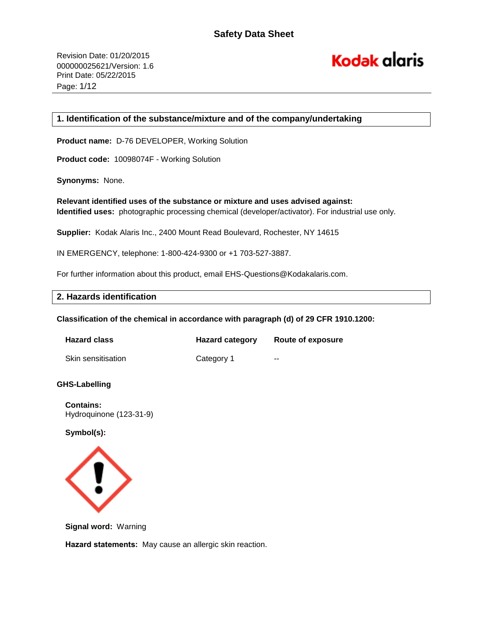# **Kodak alaris**

# **1. Identification of the substance/mixture and of the company/undertaking**

**Product name:** D-76 DEVELOPER, Working Solution

**Product code:** 10098074F - Working Solution

**Synonyms:** None.

**Relevant identified uses of the substance or mixture and uses advised against: Identified uses:** photographic processing chemical (developer/activator). For industrial use only.

**Supplier:** Kodak Alaris Inc., 2400 Mount Read Boulevard, Rochester, NY 14615

IN EMERGENCY, telephone: 1-800-424-9300 or +1 703-527-3887.

For further information about this product, email EHS-Questions@Kodakalaris.com.

# **2. Hazards identification**

**Classification of the chemical in accordance with paragraph (d) of 29 CFR 1910.1200:** 

| <b>Hazard class</b> | <b>Hazard category</b> | Route of exposure |
|---------------------|------------------------|-------------------|
| Skin sensitisation  | Category 1             | $- -$             |

#### **GHS-Labelling**

**Contains:**  Hydroquinone (123-31-9)

**Symbol(s):**



**Signal word:** Warning

**Hazard statements:** May cause an allergic skin reaction.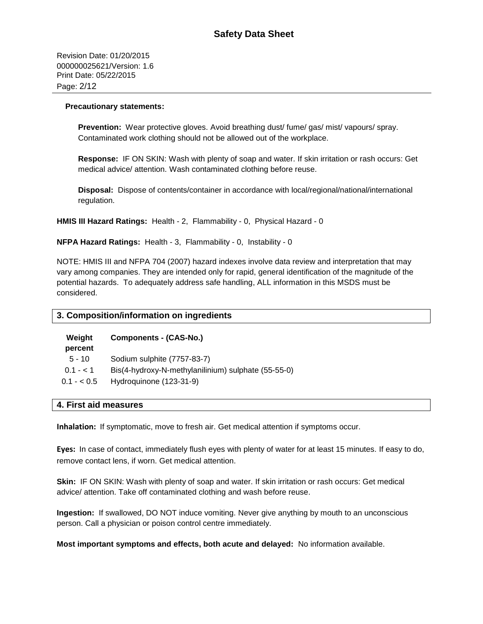Revision Date: 01/20/2015 000000025621/Version: 1.6 Print Date: 05/22/2015 Page: 2/12

#### **Precautionary statements:**

**Prevention:** Wear protective gloves. Avoid breathing dust/ fume/ gas/ mist/ vapours/ spray. Contaminated work clothing should not be allowed out of the workplace.

**Response:** IF ON SKIN: Wash with plenty of soap and water. If skin irritation or rash occurs: Get medical advice/ attention. Wash contaminated clothing before reuse.

**Disposal:** Dispose of contents/container in accordance with local/regional/national/international regulation.

**HMIS III Hazard Ratings:** Health - 2, Flammability - 0, Physical Hazard - 0

**NFPA Hazard Ratings:** Health - 3, Flammability - 0, Instability - 0

NOTE: HMIS III and NFPA 704 (2007) hazard indexes involve data review and interpretation that may vary among companies. They are intended only for rapid, general identification of the magnitude of the potential hazards. To adequately address safe handling, ALL information in this MSDS must be considered.

#### **3. Composition/information on ingredients**

| Weight      | Components - (CAS-No.)                              |
|-------------|-----------------------------------------------------|
| percent     |                                                     |
| $5 - 10$    | Sodium sulphite (7757-83-7)                         |
| $0.1 - 1.1$ | Bis(4-hydroxy-N-methylanilinium) sulphate (55-55-0) |
| $0.1 - 0.5$ | Hydroquinone (123-31-9)                             |

#### **4. First aid measures**

**Inhalation:** If symptomatic, move to fresh air. Get medical attention if symptoms occur.

**Eyes:** In case of contact, immediately flush eyes with plenty of water for at least 15 minutes. If easy to do, remove contact lens, if worn. Get medical attention.

**Skin:** IF ON SKIN: Wash with plenty of soap and water. If skin irritation or rash occurs: Get medical advice/ attention. Take off contaminated clothing and wash before reuse.

**Ingestion:** If swallowed, DO NOT induce vomiting. Never give anything by mouth to an unconscious person. Call a physician or poison control centre immediately.

**Most important symptoms and effects, both acute and delayed:** No information available.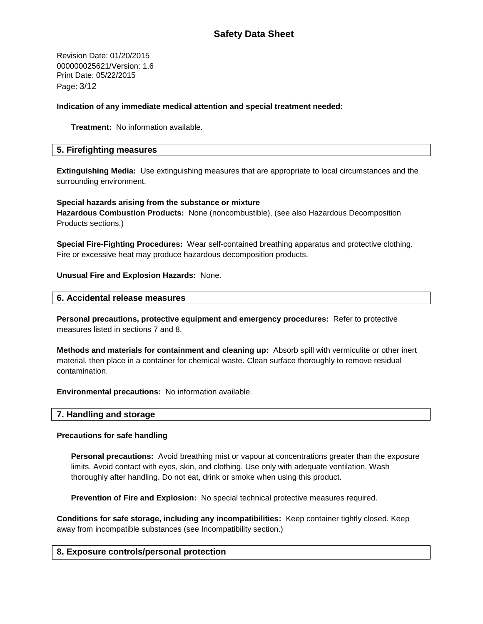Revision Date: 01/20/2015 000000025621/Version: 1.6 Print Date: 05/22/2015 Page: 3/12

## **Indication of any immediate medical attention and special treatment needed:**

**Treatment:** No information available.

#### **5. Firefighting measures**

**Extinguishing Media:** Use extinguishing measures that are appropriate to local circumstances and the surrounding environment.

**Special hazards arising from the substance or mixture Hazardous Combustion Products:** None (noncombustible), (see also Hazardous Decomposition Products sections.)

**Special Fire-Fighting Procedures:** Wear self-contained breathing apparatus and protective clothing. Fire or excessive heat may produce hazardous decomposition products.

#### **Unusual Fire and Explosion Hazards:** None.

#### **6. Accidental release measures**

**Personal precautions, protective equipment and emergency procedures:** Refer to protective measures listed in sections 7 and 8.

**Methods and materials for containment and cleaning up:** Absorb spill with vermiculite or other inert material, then place in a container for chemical waste. Clean surface thoroughly to remove residual contamination.

**Environmental precautions:** No information available.

#### **7. Handling and storage**

#### **Precautions for safe handling**

**Personal precautions:** Avoid breathing mist or vapour at concentrations greater than the exposure limits. Avoid contact with eyes, skin, and clothing. Use only with adequate ventilation. Wash thoroughly after handling. Do not eat, drink or smoke when using this product.

**Prevention of Fire and Explosion:** No special technical protective measures required.

**Conditions for safe storage, including any incompatibilities:** Keep container tightly closed. Keep away from incompatible substances (see Incompatibility section.)

# **8. Exposure controls/personal protection**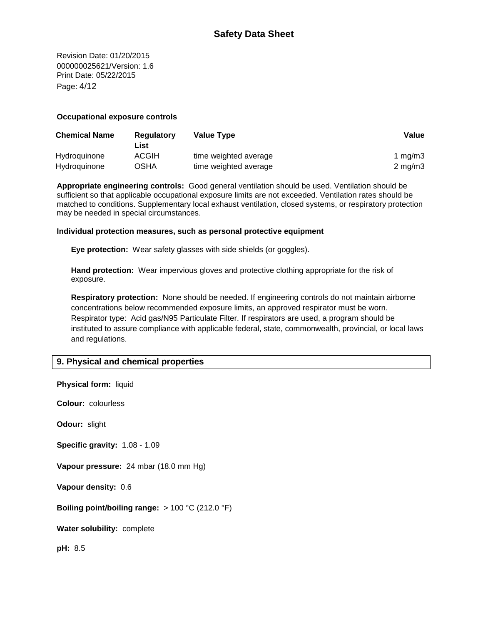Revision Date: 01/20/2015 000000025621/Version: 1.6 Print Date: 05/22/2015 Page: 4/12

#### **Occupational exposure controls**

| <b>Chemical Name</b> | Regulatory<br>∟ist | Value Type            | Value            |
|----------------------|--------------------|-----------------------|------------------|
| Hydroquinone         | <b>ACGIH</b>       | time weighted average | 1 ma/m $3$       |
| Hydroquinone         | OSHA               | time weighted average | $2 \text{ mg/m}$ |

**Appropriate engineering controls:** Good general ventilation should be used. Ventilation should be sufficient so that applicable occupational exposure limits are not exceeded. Ventilation rates should be matched to conditions. Supplementary local exhaust ventilation, closed systems, or respiratory protection may be needed in special circumstances.

#### **Individual protection measures, such as personal protective equipment**

**Eye protection:** Wear safety glasses with side shields (or goggles).

**Hand protection:** Wear impervious gloves and protective clothing appropriate for the risk of exposure.

**Boiling point/boiling range:** > 100 °C (212.0 °F)

**Respiratory protection:** None should be needed. If engineering controls do not maintain airborne concentrations below recommended exposure limits, an approved respirator must be worn. Respirator type: Acid gas/N95 Particulate Filter. If respirators are used, a program should be instituted to assure compliance with applicable federal, state, commonwealth, provincial, or local laws and regulations.

# **9. Physical and chemical properties**

| Physical form: liquid                       |
|---------------------------------------------|
| <b>Colour:</b> colourless                   |
| Odour: slight                               |
| Specific gravity: 1.08 - 1.09               |
| Vapour pressure: 24 mbar (18.0 mm Hg)       |
| Vapour density: 0.6                         |
| Boiling point/boiling range: $> 100 °C$ (21 |
| Water solubility: complete                  |
| pH: 8.5                                     |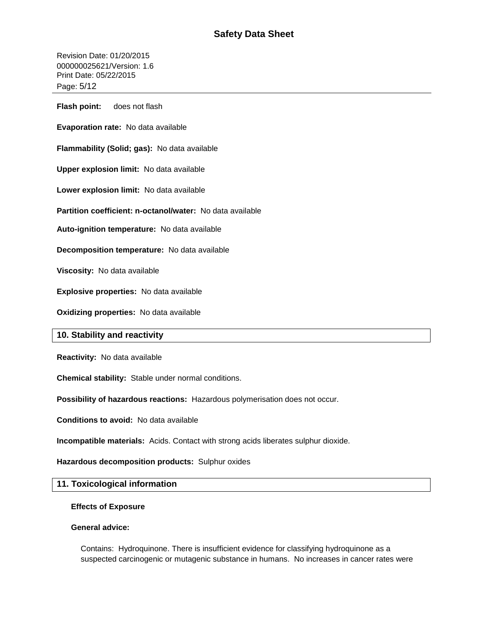Revision Date: 01/20/2015 000000025621/Version: 1.6 Print Date: 05/22/2015 Page: 5/12

**Flash point:** does not flash

**Evaporation rate:** No data available

**Flammability (Solid; gas):** No data available

**Upper explosion limit:** No data available

**Lower explosion limit:** No data available

**Partition coefficient: n-octanol/water:** No data available

**Auto-ignition temperature:** No data available

**Decomposition temperature:** No data available

**Viscosity:** No data available

**Explosive properties:** No data available

**Oxidizing properties:** No data available

# **10. Stability and reactivity**

**Reactivity:** No data available

**Chemical stability:** Stable under normal conditions.

**Possibility of hazardous reactions:** Hazardous polymerisation does not occur.

**Conditions to avoid:** No data available

**Incompatible materials:** Acids. Contact with strong acids liberates sulphur dioxide.

**Hazardous decomposition products:** Sulphur oxides

# **11. Toxicological information**

#### **Effects of Exposure**

#### **General advice:**

Contains: Hydroquinone. There is insufficient evidence for classifying hydroquinone as a suspected carcinogenic or mutagenic substance in humans. No increases in cancer rates were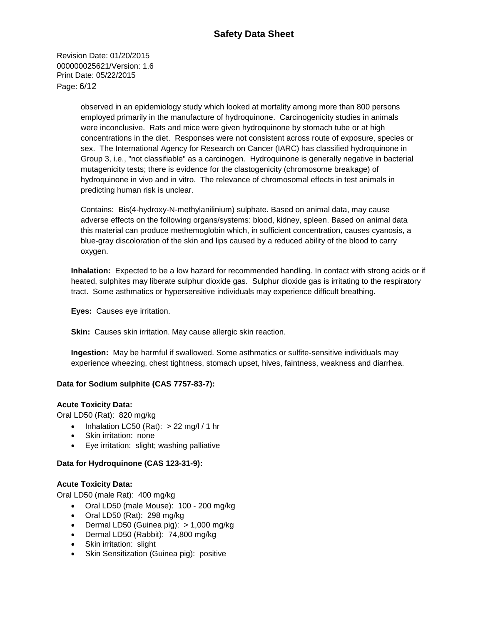Revision Date: 01/20/2015 000000025621/Version: 1.6 Print Date: 05/22/2015 Page: 6/12

> observed in an epidemiology study which looked at mortality among more than 800 persons employed primarily in the manufacture of hydroquinone. Carcinogenicity studies in animals were inconclusive. Rats and mice were given hydroquinone by stomach tube or at high concentrations in the diet. Responses were not consistent across route of exposure, species or sex. The International Agency for Research on Cancer (IARC) has classified hydroquinone in Group 3, i.e., "not classifiable" as a carcinogen. Hydroquinone is generally negative in bacterial mutagenicity tests; there is evidence for the clastogenicity (chromosome breakage) of hydroquinone in vivo and in vitro. The relevance of chromosomal effects in test animals in predicting human risk is unclear.

> Contains: Bis(4-hydroxy-N-methylanilinium) sulphate. Based on animal data, may cause adverse effects on the following organs/systems: blood, kidney, spleen. Based on animal data this material can produce methemoglobin which, in sufficient concentration, causes cyanosis, a blue-gray discoloration of the skin and lips caused by a reduced ability of the blood to carry oxygen.

**Inhalation:** Expected to be a low hazard for recommended handling. In contact with strong acids or if heated, sulphites may liberate sulphur dioxide gas. Sulphur dioxide gas is irritating to the respiratory tract. Some asthmatics or hypersensitive individuals may experience difficult breathing.

**Eyes:** Causes eye irritation.

**Skin:** Causes skin irritation. May cause allergic skin reaction.

**Ingestion:** May be harmful if swallowed. Some asthmatics or sulfite-sensitive individuals may experience wheezing, chest tightness, stomach upset, hives, faintness, weakness and diarrhea.

# **Data for Sodium sulphite (CAS 7757-83-7):**

#### **Acute Toxicity Data:**

Oral LD50 (Rat): 820 mg/kg

- Inhalation LC50 (Rat):  $> 22$  mg/l / 1 hr
- Skin irritation: none
- Eye irritation: slight; washing palliative

#### **Data for Hydroquinone (CAS 123-31-9):**

#### **Acute Toxicity Data:**

Oral LD50 (male Rat): 400 mg/kg

- Oral LD50 (male Mouse): 100 200 mg/kg
- Oral LD50 (Rat): 298 mg/kg
- Dermal LD50 (Guinea pig): > 1,000 mg/kg
- Dermal LD50 (Rabbit): 74,800 mg/kg
- Skin irritation: slight
- Skin Sensitization (Guinea pig): positive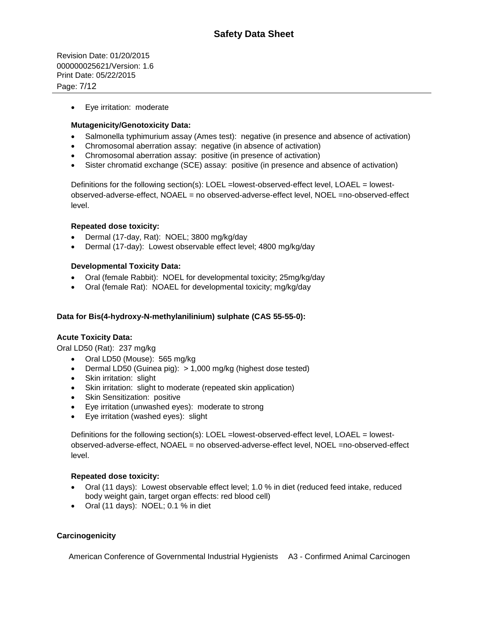Revision Date: 01/20/2015 000000025621/Version: 1.6 Print Date: 05/22/2015 Page: 7/12

Eye irritation: moderate

# **Mutagenicity/Genotoxicity Data:**

- Salmonella typhimurium assay (Ames test): negative (in presence and absence of activation)
- Chromosomal aberration assay: negative (in absence of activation)
- Chromosomal aberration assay: positive (in presence of activation)
- Sister chromatid exchange (SCE) assay: positive (in presence and absence of activation)

Definitions for the following section(s): LOEL =lowest-observed-effect level, LOAEL = lowestobserved-adverse-effect, NOAEL = no observed-adverse-effect level, NOEL =no-observed-effect level.

#### **Repeated dose toxicity:**

- Dermal (17-day, Rat): NOEL; 3800 mg/kg/day
- Dermal (17-day): Lowest observable effect level; 4800 mg/kg/day

#### **Developmental Toxicity Data:**

- Oral (female Rabbit): NOEL for developmental toxicity; 25mg/kg/day
- Oral (female Rat): NOAEL for developmental toxicity; mg/kg/day

## **Data for Bis(4-hydroxy-N-methylanilinium) sulphate (CAS 55-55-0):**

#### **Acute Toxicity Data:**

Oral LD50 (Rat): 237 mg/kg

- Oral LD50 (Mouse): 565 mg/kg
- Dermal LD50 (Guinea pig): > 1,000 mg/kg (highest dose tested)
- Skin irritation: slight
- Skin irritation: slight to moderate (repeated skin application)
- Skin Sensitization: positive
- Eye irritation (unwashed eyes): moderate to strong
- Eye irritation (washed eyes): slight

Definitions for the following section(s): LOEL =lowest-observed-effect level, LOAEL = lowestobserved-adverse-effect, NOAEL = no observed-adverse-effect level, NOEL =no-observed-effect level.

#### **Repeated dose toxicity:**

- Oral (11 days): Lowest observable effect level; 1.0 % in diet (reduced feed intake, reduced body weight gain, target organ effects: red blood cell)
- $\bullet$  Oral (11 days): NOEL; 0.1 % in diet

# **Carcinogenicity**

American Conference of Governmental Industrial Hygienists A3 - Confirmed Animal Carcinogen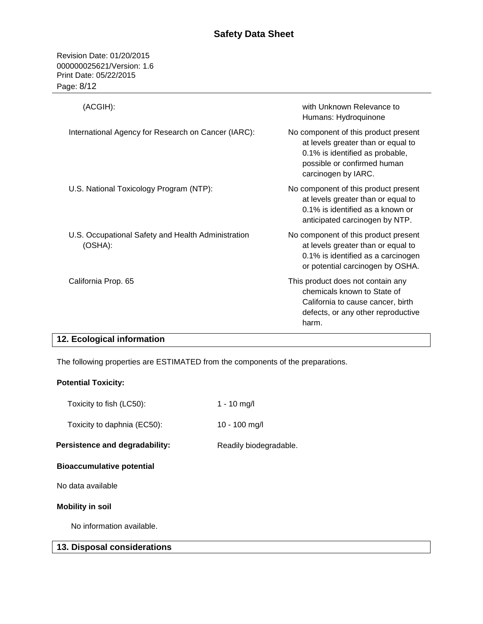Revision Date: 01/20/2015 000000025621/Version: 1.6 Print Date: 05/22/2015 Page: 8/12

| (ACGIH):                                                      | with Unknown Relevance to<br>Humans: Hydroquinone                                                                                                                   |
|---------------------------------------------------------------|---------------------------------------------------------------------------------------------------------------------------------------------------------------------|
| International Agency for Research on Cancer (IARC):           | No component of this product present<br>at levels greater than or equal to<br>0.1% is identified as probable,<br>possible or confirmed human<br>carcinogen by IARC. |
| U.S. National Toxicology Program (NTP):                       | No component of this product present<br>at levels greater than or equal to<br>0.1% is identified as a known or<br>anticipated carcinogen by NTP.                    |
| U.S. Occupational Safety and Health Administration<br>(OSHA): | No component of this product present<br>at levels greater than or equal to<br>0.1% is identified as a carcinogen<br>or potential carcinogen by OSHA.                |
| California Prop. 65                                           | This product does not contain any<br>chemicals known to State of<br>California to cause cancer, birth<br>defects, or any other reproductive<br>harm.                |

# **12. Ecological information**

The following properties are ESTIMATED from the components of the preparations.

# **Potential Toxicity:**

| 13. Disposal considerations      |                        |
|----------------------------------|------------------------|
| No information available.        |                        |
| <b>Mobility in soil</b>          |                        |
| No data available.               |                        |
| <b>Bioaccumulative potential</b> |                        |
| Persistence and degradability:   | Readily biodegradable. |
| Toxicity to daphnia (EC50):      | 10 - 100 mg/l          |
| Toxicity to fish (LC50):         | 1 - 10 mg/l            |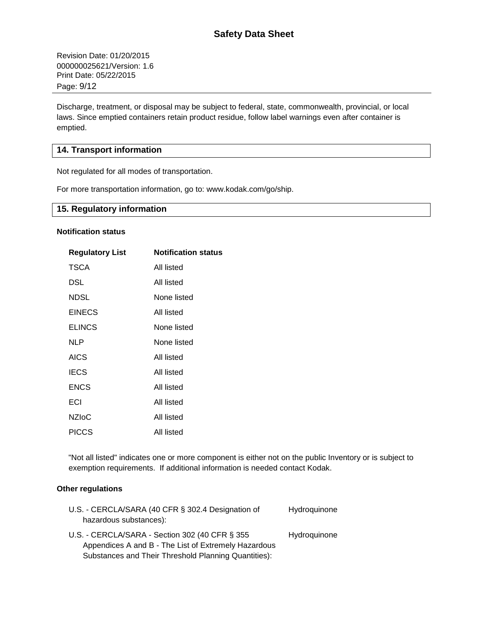Revision Date: 01/20/2015 000000025621/Version: 1.6 Print Date: 05/22/2015 Page: 9/12

Discharge, treatment, or disposal may be subject to federal, state, commonwealth, provincial, or local laws. Since emptied containers retain product residue, follow label warnings even after container is emptied.

# **14. Transport information**

Not regulated for all modes of transportation.

For more transportation information, go to: www.kodak.com/go/ship.

# **15. Regulatory information**

## **Notification status**

| <b>Regulatory List</b> | <b>Notification status</b> |
|------------------------|----------------------------|
| <b>TSCA</b>            | All listed                 |
| DSL                    | All listed                 |
| NDSL                   | None listed                |
| <b>EINECS</b>          | All listed                 |
| <b>ELINCS</b>          | None listed                |
| NLP                    | None listed                |
| <b>AICS</b>            | All listed                 |
| <b>IECS</b>            | All listed                 |
| <b>ENCS</b>            | All listed                 |
| ECI                    | All listed                 |
| <b>NZIoC</b>           | All listed                 |
| PICCS                  | All listed                 |

"Not all listed" indicates one or more component is either not on the public Inventory or is subject to exemption requirements. If additional information is needed contact Kodak.

#### **Other regulations**

| U.S. - CERCLA/SARA (40 CFR § 302.4 Designation of    | Hydroquinone |
|------------------------------------------------------|--------------|
| hazardous substances):                               |              |
| U.S. - CERCLA/SARA - Section 302 (40 CFR § 355)      | Hydroquinone |
| Appendices A and B - The List of Extremely Hazardous |              |
| Substances and Their Threshold Planning Quantities): |              |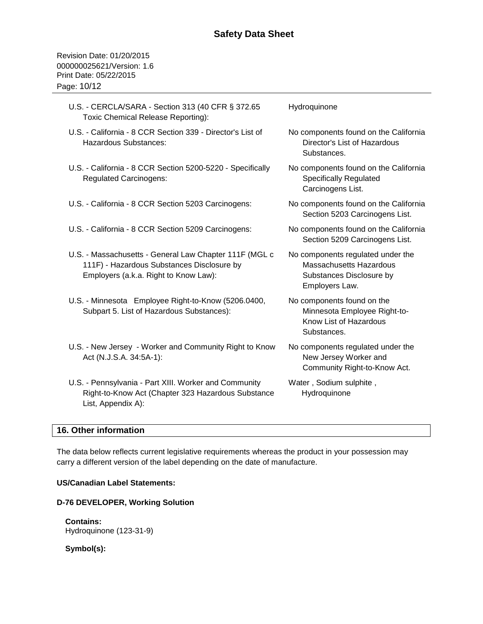Revision Date: 01/20/2015 000000025621/Version: 1.6 Print Date: 05/22/2015 Page: 10/12

| U.S. - CERCLA/SARA - Section 313 (40 CFR § 372.65<br>Toxic Chemical Release Reporting):                                                       | Hydroquinone                                                                                                      |
|-----------------------------------------------------------------------------------------------------------------------------------------------|-------------------------------------------------------------------------------------------------------------------|
| U.S. - California - 8 CCR Section 339 - Director's List of<br><b>Hazardous Substances:</b>                                                    | No components found on the California<br>Director's List of Hazardous<br>Substances.                              |
| U.S. - California - 8 CCR Section 5200-5220 - Specifically<br><b>Regulated Carcinogens:</b>                                                   | No components found on the California<br>Specifically Regulated<br>Carcinogens List.                              |
| U.S. - California - 8 CCR Section 5203 Carcinogens:                                                                                           | No components found on the California<br>Section 5203 Carcinogens List.                                           |
| U.S. - California - 8 CCR Section 5209 Carcinogens:                                                                                           | No components found on the California<br>Section 5209 Carcinogens List.                                           |
| U.S. - Massachusetts - General Law Chapter 111F (MGL c<br>111F) - Hazardous Substances Disclosure by<br>Employers (a.k.a. Right to Know Law): | No components regulated under the<br><b>Massachusetts Hazardous</b><br>Substances Disclosure by<br>Employers Law. |
| U.S. - Minnesota Employee Right-to-Know (5206.0400,<br>Subpart 5. List of Hazardous Substances):                                              | No components found on the<br>Minnesota Employee Right-to-<br>Know List of Hazardous<br>Substances.               |
| U.S. - New Jersey - Worker and Community Right to Know<br>Act (N.J.S.A. 34:5A-1):                                                             | No components regulated under the<br>New Jersey Worker and<br>Community Right-to-Know Act.                        |
| U.S. - Pennsylvania - Part XIII. Worker and Community<br>Right-to-Know Act (Chapter 323 Hazardous Substance<br>List, Appendix A):             | Water, Sodium sulphite,<br>Hydroquinone                                                                           |

# **16. Other information**

The data below reflects current legislative requirements whereas the product in your possession may carry a different version of the label depending on the date of manufacture.

# **US/Canadian Label Statements:**

#### **D-76 DEVELOPER, Working Solution**

**Contains:**  Hydroquinone (123-31-9)

**Symbol(s):**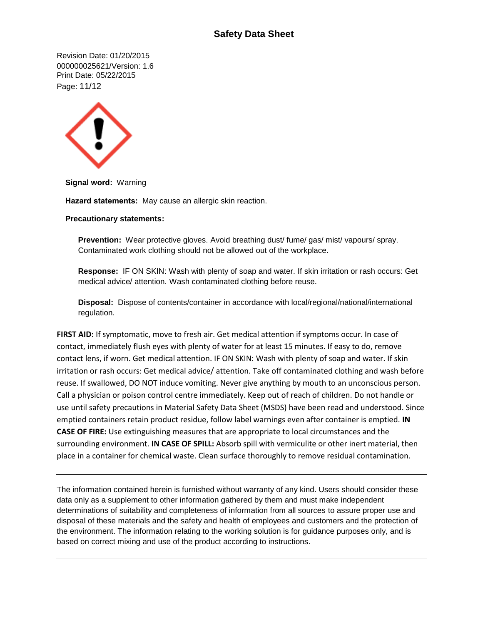# **Safety Data Sheet**

Revision Date: 01/20/2015 000000025621/Version: 1.6 Print Date: 05/22/2015 Page: 11/12



**Signal word:** Warning

**Hazard statements:** May cause an allergic skin reaction.

#### **Precautionary statements:**

**Prevention:** Wear protective gloves. Avoid breathing dust/ fume/ gas/ mist/ vapours/ spray. Contaminated work clothing should not be allowed out of the workplace.

**Response:** IF ON SKIN: Wash with plenty of soap and water. If skin irritation or rash occurs: Get medical advice/ attention. Wash contaminated clothing before reuse.

**Disposal:** Dispose of contents/container in accordance with local/regional/national/international regulation.

**FIRST AID:** If symptomatic, move to fresh air. Get medical attention if symptoms occur. In case of contact, immediately flush eyes with plenty of water for at least 15 minutes. If easy to do, remove contact lens, if worn. Get medical attention. IF ON SKIN: Wash with plenty of soap and water. If skin irritation or rash occurs: Get medical advice/ attention. Take off contaminated clothing and wash before reuse. If swallowed, DO NOT induce vomiting. Never give anything by mouth to an unconscious person. Call a physician or poison control centre immediately. Keep out of reach of children. Do not handle or use until safety precautions in Material Safety Data Sheet (MSDS) have been read and understood. Since emptied containers retain product residue, follow label warnings even after container is emptied. **IN CASE OF FIRE:** Use extinguishing measures that are appropriate to local circumstances and the surrounding environment. **IN CASE OF SPILL:** Absorb spill with vermiculite or other inert material, then place in a container for chemical waste. Clean surface thoroughly to remove residual contamination.

The information contained herein is furnished without warranty of any kind. Users should consider these data only as a supplement to other information gathered by them and must make independent determinations of suitability and completeness of information from all sources to assure proper use and disposal of these materials and the safety and health of employees and customers and the protection of the environment. The information relating to the working solution is for guidance purposes only, and is based on correct mixing and use of the product according to instructions.